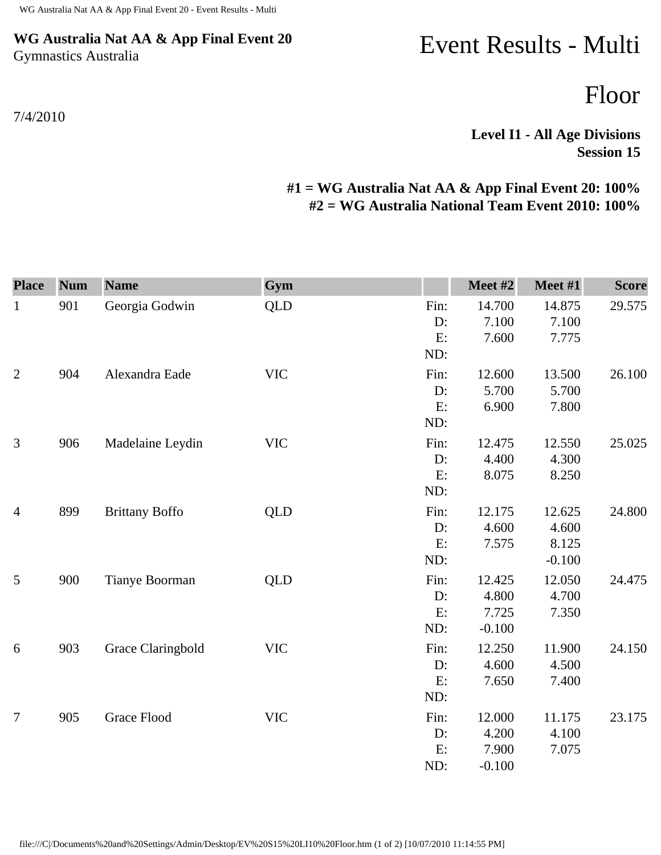## **WG Australia Nat AA & App Final Event 20** Gymnastics Australia

## 7/4/2010

## Event Results - Multi

Floor

**Level I1 - All Age Divisions Session 15** 

## **#1 = WG Australia Nat AA & App Final Event 20: 100% #2 = WG Australia National Team Event 2010: 100%**

| <b>Place</b>   | <b>Num</b> | <b>Name</b>           | Gym        |                         | Meet #2                              | Meet #1                              | <b>Score</b> |
|----------------|------------|-----------------------|------------|-------------------------|--------------------------------------|--------------------------------------|--------------|
| $\mathbf{1}$   | 901        | Georgia Godwin        | <b>QLD</b> | Fin:<br>D:<br>E:<br>ND: | 14.700<br>7.100<br>7.600             | 14.875<br>7.100<br>7.775             | 29.575       |
| $\mathbf{2}$   | 904        | Alexandra Eade        | <b>VIC</b> | Fin:<br>D:<br>E:<br>ND: | 12.600<br>5.700<br>6.900             | 13.500<br>5.700<br>7.800             | 26.100       |
| 3              | 906        | Madelaine Leydin      | <b>VIC</b> | Fin:<br>D:<br>E:<br>ND: | 12.475<br>4.400<br>8.075             | 12.550<br>4.300<br>8.250             | 25.025       |
| $\overline{4}$ | 899        | <b>Brittany Boffo</b> | <b>QLD</b> | Fin:<br>D:<br>E:<br>ND: | 12.175<br>4.600<br>7.575             | 12.625<br>4.600<br>8.125<br>$-0.100$ | 24.800       |
| 5              | 900        | Tianye Boorman        | <b>QLD</b> | Fin:<br>D:<br>E:<br>ND: | 12.425<br>4.800<br>7.725<br>$-0.100$ | 12.050<br>4.700<br>7.350             | 24.475       |
| 6              | 903        | Grace Claringbold     | <b>VIC</b> | Fin:<br>D:<br>E:<br>ND: | 12.250<br>4.600<br>7.650             | 11.900<br>4.500<br>7.400             | 24.150       |
| $\overline{7}$ | 905        | <b>Grace Flood</b>    | <b>VIC</b> | Fin:<br>D:<br>E:<br>ND: | 12.000<br>4.200<br>7.900<br>$-0.100$ | 11.175<br>4.100<br>7.075             | 23.175       |